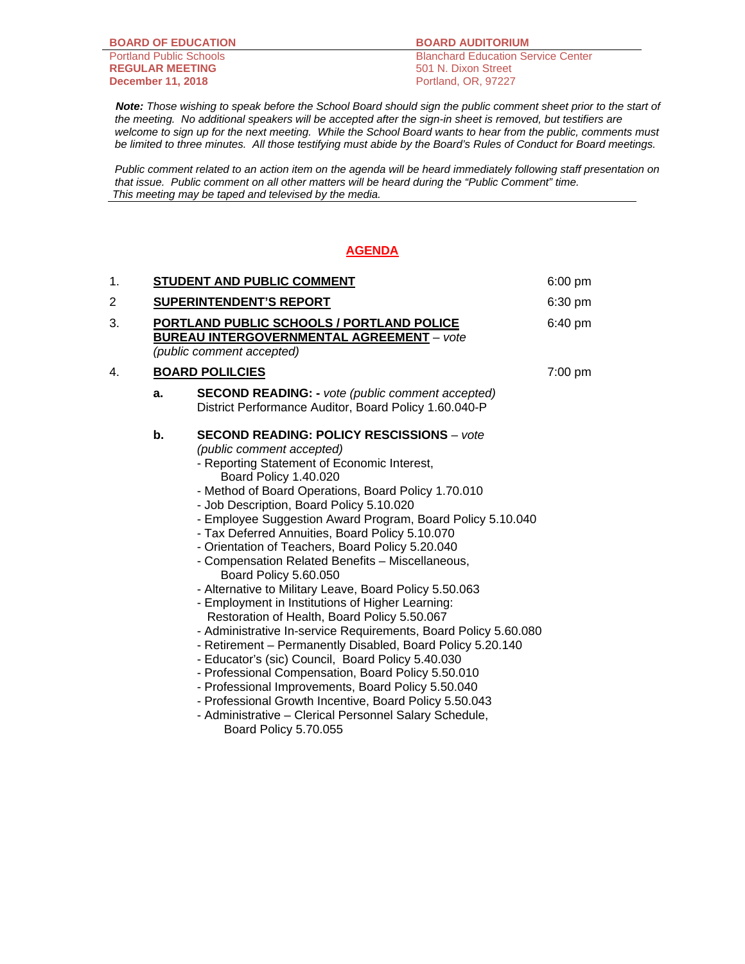**BOARD OF EDUCATION BOARD AUDITORIUM**

**REGULAR MEETING**<br>December 11, 2018

Portland Public Schools<br> **REGULAR MEETING** 501 N. Dixon Street **December 11, 2018** Portland, OR, 97227

 *Note: Those wishing to speak before the School Board should sign the public comment sheet prior to the start of the meeting. No additional speakers will be accepted after the sign-in sheet is removed, but testifiers are*  welcome to sign up for the next meeting. While the School Board wants to hear from the public, comments must *be limited to three minutes. All those testifying must abide by the Board's Rules of Conduct for Board meetings.* 

 *Public comment related to an action item on the agenda will be heard immediately following staff presentation on that issue. Public comment on all other matters will be heard during the "Public Comment" time. This meeting may be taped and televised by the media.* 

## **AGENDA**

| 1. |               | <b>STUDENT AND PUBLIC COMMENT</b>                                                                                                                                                                                                                                                                                                                                                                                                                                                                                                                                                                                                                                                                                                                                                                                                                                                                                                                                                                                                                                                                                       | $6:00$ pm         |
|----|---------------|-------------------------------------------------------------------------------------------------------------------------------------------------------------------------------------------------------------------------------------------------------------------------------------------------------------------------------------------------------------------------------------------------------------------------------------------------------------------------------------------------------------------------------------------------------------------------------------------------------------------------------------------------------------------------------------------------------------------------------------------------------------------------------------------------------------------------------------------------------------------------------------------------------------------------------------------------------------------------------------------------------------------------------------------------------------------------------------------------------------------------|-------------------|
| 2  |               | <b>SUPERINTENDENT'S REPORT</b>                                                                                                                                                                                                                                                                                                                                                                                                                                                                                                                                                                                                                                                                                                                                                                                                                                                                                                                                                                                                                                                                                          | 6:30 pm           |
| 3. |               | PORTLAND PUBLIC SCHOOLS / PORTLAND POLICE<br><b>BUREAU INTERGOVERNMENTAL AGREEMENT - vote</b><br>(public comment accepted)                                                                                                                                                                                                                                                                                                                                                                                                                                                                                                                                                                                                                                                                                                                                                                                                                                                                                                                                                                                              | $6:40 \text{ pm}$ |
| 4. |               | <b>BOARD POLILCIES</b>                                                                                                                                                                                                                                                                                                                                                                                                                                                                                                                                                                                                                                                                                                                                                                                                                                                                                                                                                                                                                                                                                                  | 7:00 pm           |
|    | a.            | <b>SECOND READING:</b> - vote (public comment accepted)<br>District Performance Auditor, Board Policy 1.60.040-P                                                                                                                                                                                                                                                                                                                                                                                                                                                                                                                                                                                                                                                                                                                                                                                                                                                                                                                                                                                                        |                   |
|    | $\mathbf b$ . | <b>SECOND READING: POLICY RESCISSIONS - vote</b><br>(public comment accepted)<br>- Reporting Statement of Economic Interest,<br>Board Policy 1.40.020<br>- Method of Board Operations, Board Policy 1.70.010<br>- Job Description, Board Policy 5.10.020<br>- Employee Suggestion Award Program, Board Policy 5.10.040<br>- Tax Deferred Annuities, Board Policy 5.10.070<br>- Orientation of Teachers, Board Policy 5.20.040<br>- Compensation Related Benefits - Miscellaneous,<br>Board Policy 5.60.050<br>- Alternative to Military Leave, Board Policy 5.50.063<br>- Employment in Institutions of Higher Learning:<br>Restoration of Health, Board Policy 5.50.067<br>- Administrative In-service Requirements, Board Policy 5.60.080<br>- Retirement - Permanently Disabled, Board Policy 5.20.140<br>- Educator's (sic) Council, Board Policy 5.40.030<br>- Professional Compensation, Board Policy 5.50.010<br>- Professional Improvements, Board Policy 5.50.040<br>- Professional Growth Incentive, Board Policy 5.50.043<br>- Administrative - Clerical Personnel Salary Schedule,<br>Board Policy 5.70.055 |                   |